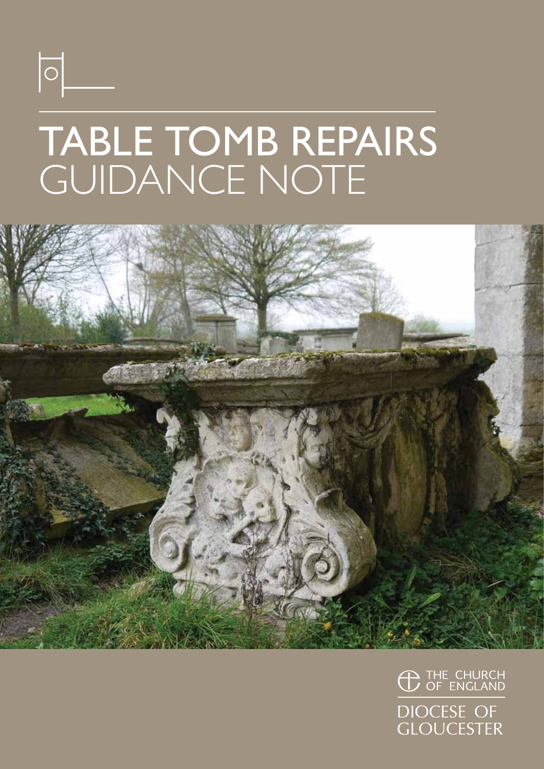

## TABLE TOMB REPAIRS GUIDANCE NOTE



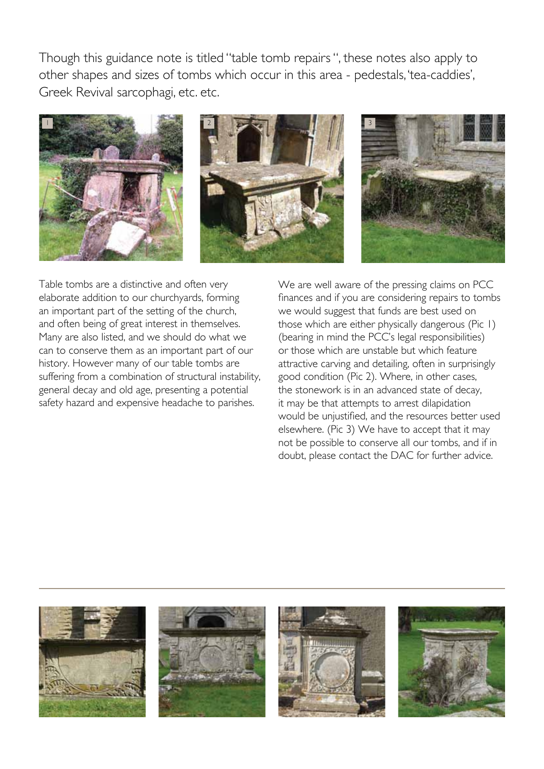Though this guidance note is titled "table tomb repairs ", these notes also apply to other shapes and sizes of tombs which occur in this area - pedestals, 'tea-caddies', Greek Revival sarcophagi, etc. etc.







Table tombs are a distinctive and often very elaborate addition to our churchyards, forming an important part of the setting of the church, and often being of great interest in themselves. Many are also listed, and we should do what we can to conserve them as an important part of our history. However many of our table tombs are suffering from a combination of structural instability, general decay and old age, presenting a potential safety hazard and expensive headache to parishes.

We are well aware of the pressing claims on PCC finances and if you are considering repairs to tombs we would suggest that funds are best used on those which are either physically dangerous (Pic 1) (bearing in mind the PCC's legal responsibilities) or those which are unstable but which feature attractive carving and detailing, often in surprisingly good condition (Pic 2). Where, in other cases, the stonework is in an advanced state of decay, it may be that attempts to arrest dilapidation would be unjustified, and the resources better used elsewhere. (Pic 3) We have to accept that it may not be possible to conserve all our tombs, and if in doubt, please contact the DAC for further advice.

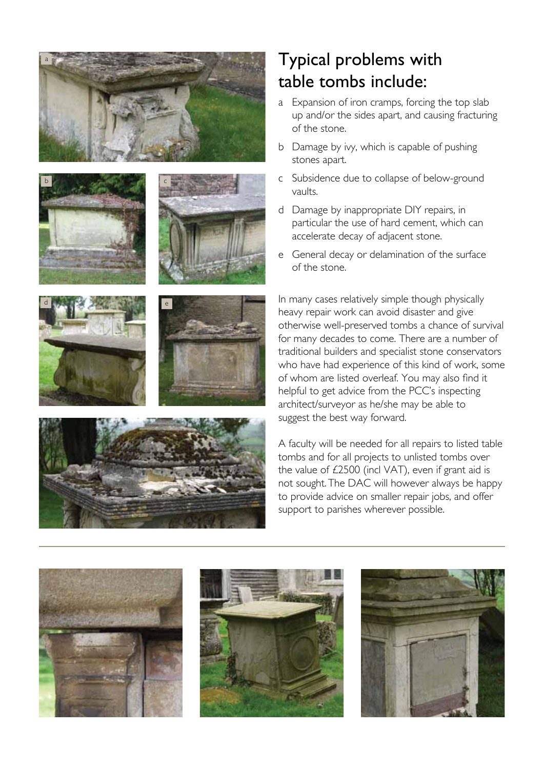











## Typical problems with table tombs include:

- a Expansion of iron cramps, forcing the top slab up and/or the sides apart, and causing fracturing of the stone.
- b Damage by ivy, which is capable of pushing stones apart.
- c Subsidence due to collapse of below-ground vaults.
- d Damage by inappropriate DIY repairs, in particular the use of hard cement, which can accelerate decay of adjacent stone.
- e General decay or delamination of the surface of the stone.

In many cases relatively simple though physically heavy repair work can avoid disaster and give otherwise well-preserved tombs a chance of survival for many decades to come. There are a number of traditional builders and specialist stone conservators who have had experience of this kind of work, some of whom are listed overleaf. You may also find it helpful to get advice from the PCC's inspecting architect/surveyor as he/she may be able to suggest the best way forward.

A faculty will be needed for all repairs to listed table tombs and for all projects to unlisted tombs over the value of £2500 (incl VAT), even if grant aid is not sought. The DAC will however always be happy to provide advice on smaller repair jobs, and offer support to parishes wherever possible.